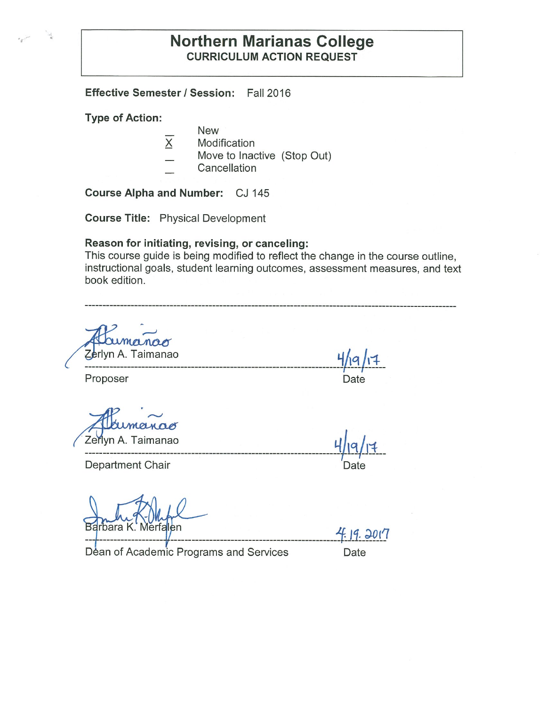### **Northern Marianas College CURRICULUM ACTION REQUEST**

**Effective Semester/ Session:** Fall 2016

**Type of Action:** 

- New
- $X$  Modification
- Move to Inactive (Stop Out)
- **Cancellation**

**Course Alpha and Number:** CJ 145

**Course Title:** Physical Development

#### **Reason for initiating, revising, or canceling:**

This course guide is being modified to reflect the change in the course outline, instructional goals, student learning outcomes, assessment measures, and text book edition.

-----------------------------------------------------------------------------------------

Zerlyn A. Taimanao

Department Chair **Department** Chair

Barbara K. Merfalen

-- ---------------- --------------------------------------------1~l1: ;;).01'1 Déan of Academic Programs and Services Date

 $-1$   $+$ rlyn A. Taimanao **Y'ic:,/i+ -------------------------------------------------------------------------1J**------

Proposer Date

**1 ------------------------------------------------------------------------t---/-------**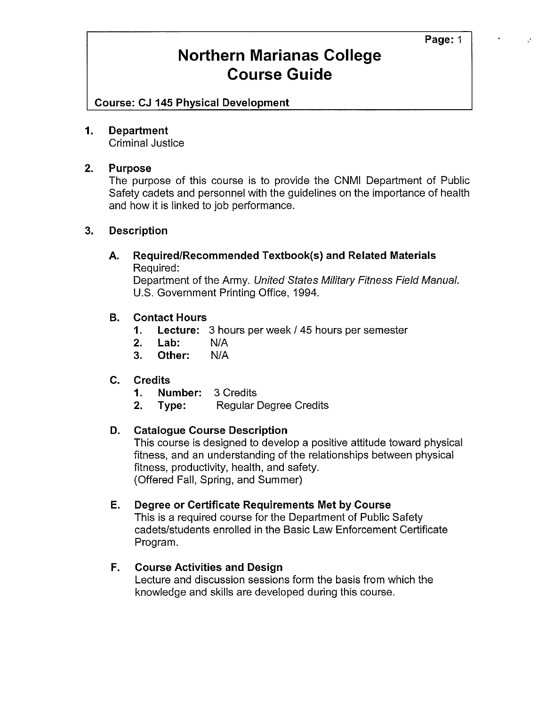# **Northern Marianas College Course Guide**

**Course: CJ 145 Physical Development** 

### **1. Department**

Criminal Justice

### **2. Purpose**

The purpose of this course is to provide the CNMI Department of Public Safety cadets and personnel with the guidelines on the importance of health and how it is linked to job performance.

### **3. Description**

### **A. Required/Recommended Textbook(s) and Related Materials**  Required:

Department of the Army. United States Military Fitness Field Manual. U.S. Government Printing Office, 1994.

### **B. Contact Hours**

- **1. Lecture:** 3 hours per week/ 45 hours per semester
- **2. Lab:** N/A
- **3. Other:** N/A

### **C. Credits**

- **1. Number:** 3 Credits
- **2. Type:** Regular Degree Credits

### **D. Catalogue Course Description**

This course is designed to develop a positive attitude toward physical fitness, and an understanding of the relationships between physical fitness, productivity, health, and safety. (Offered Fall, Spring, and Summer)

### **E. Degree or Certificate Requirements Met by Course**

This is a required course for the Department of Public Safety cadets/students enrolled in the Basic Law Enforcement Certificate Program.

### **F. Course Activities and Design**

Lecture and discussion sessions form the basis from which the knowledge and skills are developed during this course.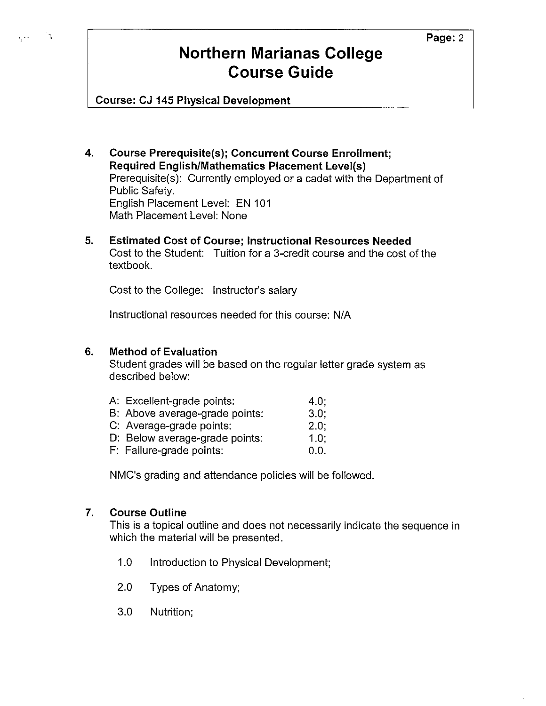# **Northern Marianas College Course Guide**

**Course: CJ 145 Physical Development** 

्र

- **4. Course Prerequisite(s); Concurrent Course Enrollment; Required English/Mathematics Placement Level(s)**  Prerequisite(s): Currently employed or a cadet with the Department of Public Safety. English Placement Level: EN 101 Math Placement Level: None
- **5. Estimated Cost of Course; Instructional Resources Needed**  Cost to the Student: Tuition for a 3-credit course and the cost of the textbook.

Cost to the College: Instructor's salary

Instructional resources needed for this course: N/A

### **6. Method of Evaluation**

Student grades will be based on the regular letter grade system as described below:

| A: Excellent-grade points:     | 4.0:    |
|--------------------------------|---------|
| B: Above average-grade points: | 3.0:    |
| C: Average-grade points:       | $2.0$ ; |
| D: Below average-grade points: | 1.0:    |
| F: Failure-grade points:       | 0.0.    |

NMC's grading and attendance policies will be followed.

### **7. Course Outline**

This is a topical outline and does not necessarily indicate the sequence in which the material will be presented.

- 1.0 Introduction to Physical Development;
- 2.0 Types of Anatomy;
- 3.0 Nutrition;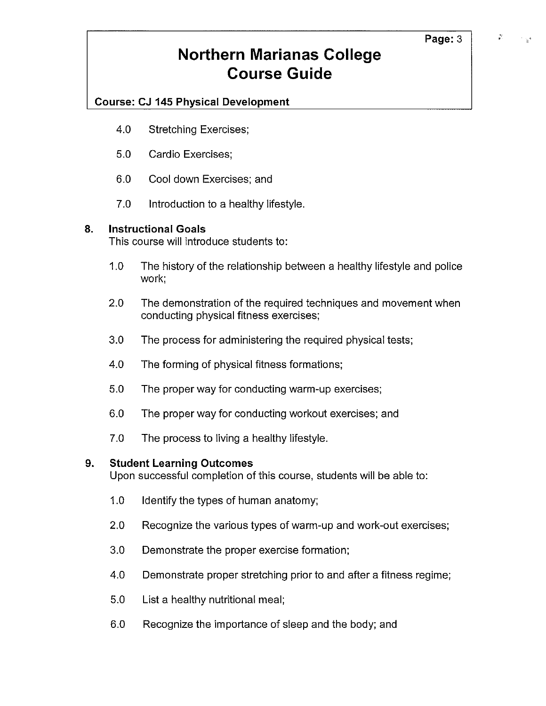# **Northern Marianas College Course Guide**

### **Course: CJ 145 Physical Development**

- 4.0 Stretching Exercises;
- 5.0 Cardio Exercises;
- 6.0 Cool down Exercises; and
- 7.0 Introduction to a healthy lifestyle.

### **8. Instructional Goals**

This course will introduce students to:

- 1.0 The history of the relationship between a healthy lifestyle and police work;
- 2.0 The demonstration of the required techniques and movement when conducting physical fitness exercises;
- 3.0 The process for administering the required physical tests;
- 4.0 The forming of physical fitness formations;
- 5.0 The proper way for conducting warm-up exercises;
- 6.0 The proper way for conducting workout exercises; and
- 7.0 The process to living a healthy lifestyle.

### **9. Student Learning Outcomes**

Upon successful completion of this course, students will be able to:

- 1.0 Identify the types of human anatomy;
- 2.0 Recognize the various types of warm-up and work-out exercises;
- 3.0 Demonstrate the proper exercise formation;
- 4.0 Demonstrate proper stretching prior to and after a fitness regime;
- 5.0 List a healthy nutritional meal;
- 6.0 Recognize the importance of sleep and the body; and

 $\mathcal{E}$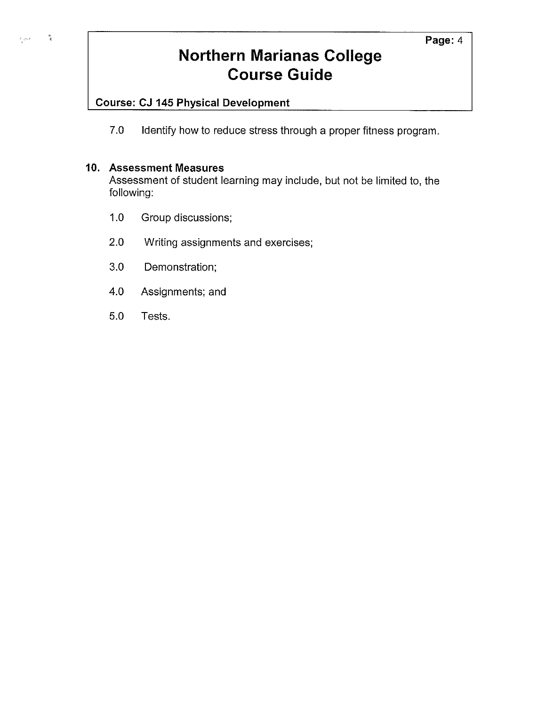# **Northern Marianas College Course Guide**

### **Course: CJ 145 Physical Development**

7.0 Identify how to reduce stress through a proper fitness program.

### **10. Assessment Measures**

 $\frac{M}{\xi}$ 

المتأمرة

Assessment of student learning may include, but not be limited to, the following:

- 1.0 Group discussions;
- 2.0 Writing assignments and exercises;
- 3.0 Demonstration;
- 4.0 Assignments; and
- 5.0 Tests.